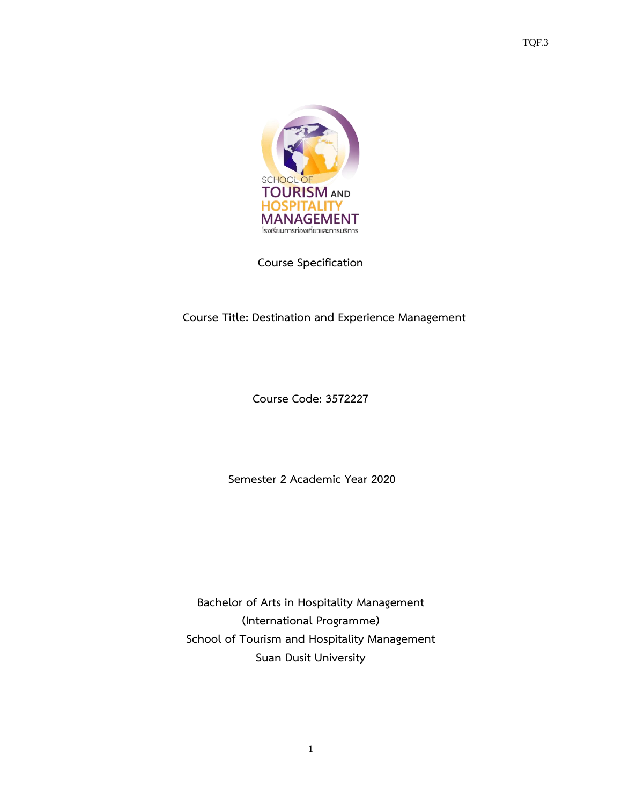

**Course Specification**

# **Course Title: Destination and Experience Management**

**Course Code: 3572227**

**Semester 2 Academic Year 2020**

**Bachelor of Arts in Hospitality Management (International Programme) School of Tourism and Hospitality Management Suan Dusit University**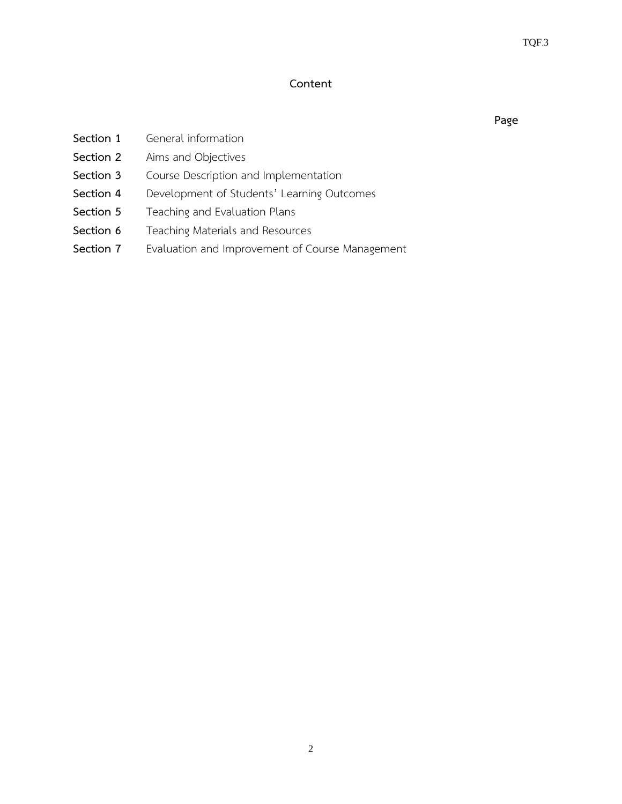### **Content**

| Section 1<br>General information |
|----------------------------------|
|----------------------------------|

**Section 2** Aims and Objectives

- **Section 3** Course Description and Implementation
- **Section 4** Development of Students' Learning Outcomes
- **Section 5** Teaching and Evaluation Plans
- **Section 6** Teaching Materials and Resources
- **Section 7** Evaluation and Improvement of Course Management

 **Page**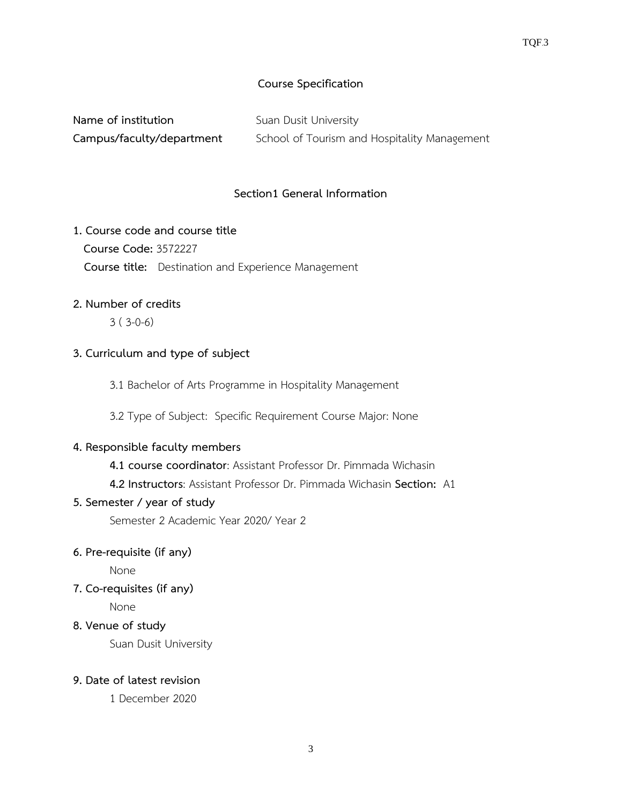# **Course Specification**

| Name of institution       | Suan Dusit University                        |
|---------------------------|----------------------------------------------|
| Campus/faculty/department | School of Tourism and Hospitality Management |

### **Section1 General Information**

### **1. Course code and course title**

**Course Code:** 3572227

 **Course title:** Destination and Experience Management

### **2. Number of credits**

3 ( 3-0-6)

### **3. Curriculum and type of subject**

3.1 Bachelor of Arts Programme in Hospitality Management

3.2 Type of Subject: Specific Requirement Course Major: None

### **4. Responsible faculty members**

**4.1 course coordinator**: Assistant Professor Dr. Pimmada Wichasin

**4.2 Instructors**: Assistant Professor Dr. Pimmada Wichasin **Section:** A1

### **5. Semester / year of study**

Semester 2 Academic Year 2020/ Year 2

### **6. Pre-requisite (if any)**

None

**7. Co-requisites (if any)**

None

**8. Venue of study**

Suan Dusit University

# **9. Date of latest revision**

1 December 2020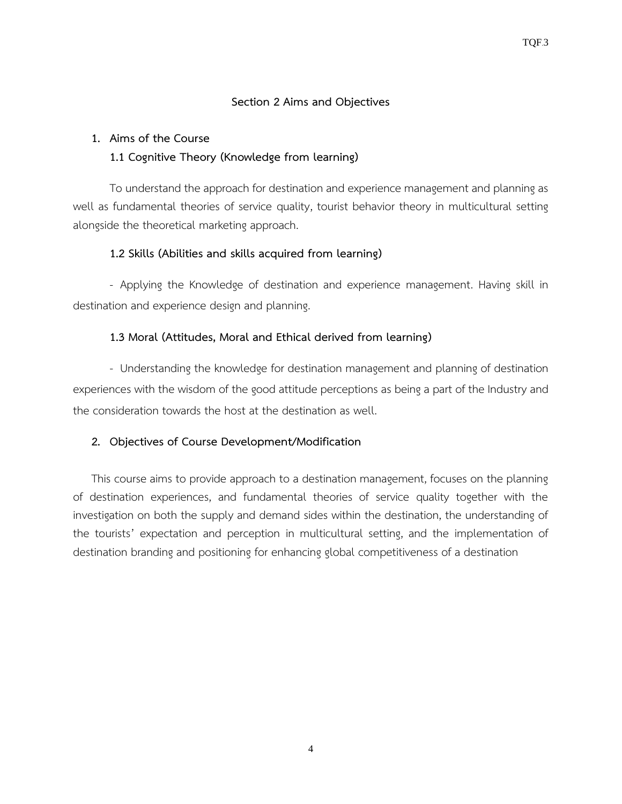#### **Section 2 Aims and Objectives**

#### **1. Aims of the Course**

### **1.1 Cognitive Theory (Knowledge from learning)**

To understand the approach for destination and experience management and planning as well as fundamental theories of service quality, tourist behavior theory in multicultural setting alongside the theoretical marketing approach.

### **1.2 Skills (Abilities and skills acquired from learning)**

- Applying the Knowledge of destination and experience management. Having skill in destination and experience design and planning.

### **1.3 Moral (Attitudes, Moral and Ethical derived from learning)**

- Understanding the knowledge for destination management and planning of destination experiences with the wisdom of the good attitude perceptions as being a part of the Industry and the consideration towards the host at the destination as well.

### **2. Objectives of Course Development/Modification**

This course aims to provide approach to a destination management, focuses on the planning of destination experiences, and fundamental theories of service quality together with the investigation on both the supply and demand sides within the destination, the understanding of the tourists' expectation and perception in multicultural setting, and the implementation of destination branding and positioning for enhancing global competitiveness of a destination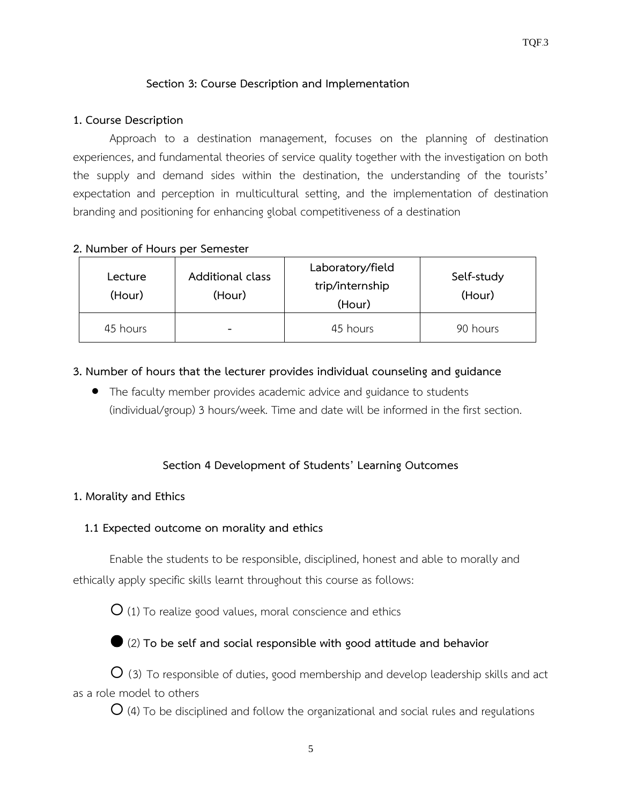## **Section 3: Course Description and Implementation**

#### **1. Course Description**

Approach to a destination management, focuses on the planning of destination experiences, and fundamental theories of service quality together with the investigation on both the supply and demand sides within the destination, the understanding of the tourists' expectation and perception in multicultural setting, and the implementation of destination branding and positioning for enhancing global competitiveness of a destination

#### **2. Number of Hours per Semester**

| Lecture<br>(Hour) | <b>Additional class</b><br>(Hour) | Laboratory/field<br>trip/internship<br>(Hour) | Self-study<br>(Hour) |
|-------------------|-----------------------------------|-----------------------------------------------|----------------------|
| 45 hours          | $\overline{\phantom{0}}$          | 45 hours                                      | 90 hours             |

### **3. Number of hours that the lecturer provides individual counseling and guidance**

• The faculty member provides academic advice and guidance to students (individual/group) 3 hours/week. Time and date will be informed in the first section.

### **Section 4 Development of Students' Learning Outcomes**

#### **1. Morality and Ethics**

### **1.1 Expected outcome on morality and ethics**

Enable the students to be responsible, disciplined, honest and able to morally and ethically apply specific skills learnt throughout this course as follows:

 $\overline{O}$  (1) To realize good values, moral conscience and ethics

(2) **To be self and social responsible with good attitude and behavior**

 $\overline{O}$  (3) To responsible of duties, good membership and develop leadership skills and act as a role model to others

 $O$  (4) To be disciplined and follow the organizational and social rules and regulations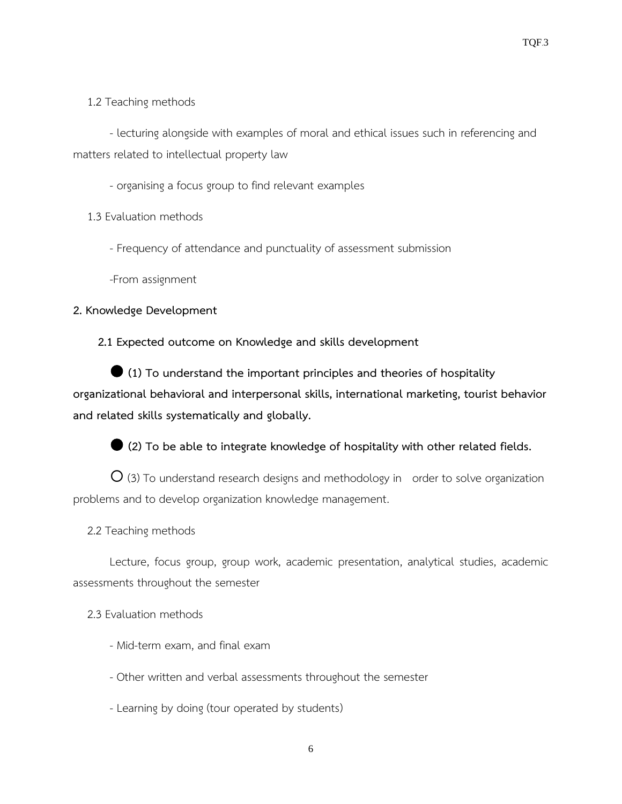# 1.2 Teaching methods

- lecturing alongside with examples of moral and ethical issues such in referencing and matters related to intellectual property law

- organising a focus group to find relevant examples

1.3 Evaluation methods

- Frequency of attendance and punctuality of assessment submission

-From assignment

# **2. Knowledge Development**

**2.1 Expected outcome on Knowledge and skills development**

 **(1) To understand the important principles and theories of hospitality organizational behavioral and interpersonal skills, international marketing, tourist behavior and related skills systematically and globally.**

**(2) To be able to integrate knowledge of hospitality with other related fields.**

 $\overline{O}$  (3) To understand research designs and methodology in order to solve organization problems and to develop organization knowledge management.

2.2 Teaching methods

Lecture, focus group, group work, academic presentation, analytical studies, academic assessments throughout the semester

# 2.3 Evaluation methods

- Mid-term exam, and final exam
- Other written and verbal assessments throughout the semester
- Learning by doing (tour operated by students)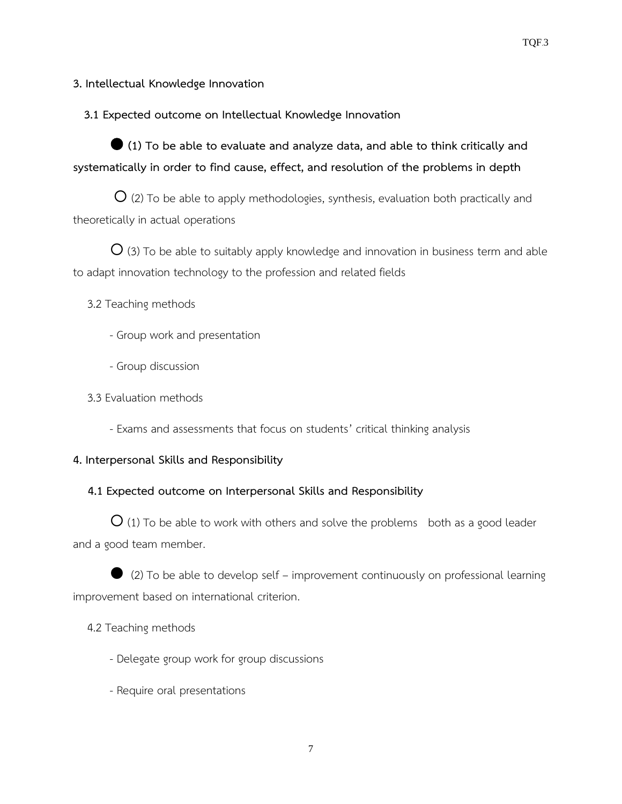### **3. Intellectual Knowledge Innovation**

 **3.1 Expected outcome on Intellectual Knowledge Innovation**

 **(1) To be able to evaluate and analyze data, and able to think critically and systematically in order to find cause, effect, and resolution of the problems in depth**

 $O$  (2) To be able to apply methodologies, synthesis, evaluation both practically and theoretically in actual operations

 $\overline{O}$  (3) To be able to suitably apply knowledge and innovation in business term and able to adapt innovation technology to the profession and related fields

3.2 Teaching methods

- Group work and presentation
- Group discussion
- 3.3 Evaluation methods
	- Exams and assessments that focus on students' critical thinking analysis

### **4. Interpersonal Skills and Responsibility**

### **4.1 Expected outcome on Interpersonal Skills and Responsibility**

 $O$  (1) To be able to work with others and solve the problems both as a good leader and a good team member.

 (2) To be able to develop self – improvement continuously on professional learning improvement based on international criterion.

### 4.2 Teaching methods

- Delegate group work for group discussions
- Require oral presentations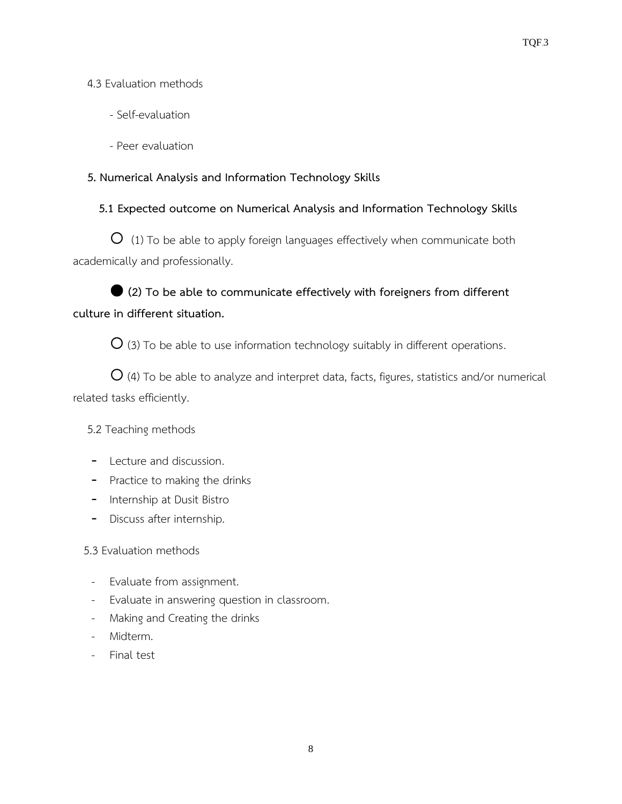# 4.3 Evaluation methods

- Self-evaluation
- Peer evaluation

# **5. Numerical Analysis and Information Technology Skills**

# **5.1 Expected outcome on Numerical Analysis and Information Technology Skills**

**O** (1) To be able to apply foreign languages effectively when communicate both academically and professionally.

# **(2) To be able to communicate effectively with foreigners from different culture in different situation.**

 $O$  (3) To be able to use information technology suitably in different operations.

 $O$  (4) To be able to analyze and interpret data, facts, figures, statistics and/or numerical related tasks efficiently.

# 5.2 Teaching methods

- Lecture and discussion.
- Practice to making the drinks
- Internship at Dusit Bistro
- Discuss after internship.

# 5.3 Evaluation methods

- Evaluate from assignment.
- Evaluate in answering question in classroom.
- Making and Creating the drinks
- Midterm.
- Final test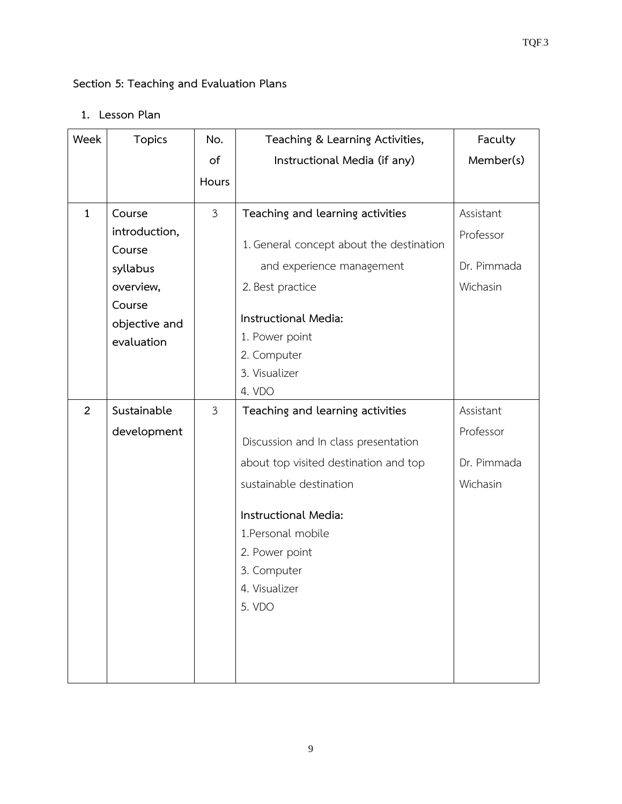# **Section 5: Teaching and Evaluation Plans**

**1. Lesson Plan**

| Week           | <b>Topics</b> | No.            | Teaching & Learning Activities,          | Faculty     |
|----------------|---------------|----------------|------------------------------------------|-------------|
|                |               | of             | Instructional Media (if any)             | Member(s)   |
|                |               | Hours          |                                          |             |
| $\mathbf{1}$   | Course        | $\mathfrak{Z}$ | Teaching and learning activities         | Assistant   |
|                | introduction, |                |                                          |             |
|                | Course        |                | 1. General concept about the destination | Professor   |
|                | syllabus      |                | and experience management                | Dr. Pimmada |
|                | overview,     |                | 2. Best practice                         | Wichasin    |
|                | Course        |                |                                          |             |
|                | objective and |                | Instructional Media:                     |             |
|                | evaluation    |                | 1. Power point                           |             |
|                |               |                | 2. Computer                              |             |
|                |               |                | 3. Visualizer<br>4. VDO                  |             |
| $\overline{2}$ | Sustainable   | $\mathfrak{Z}$ | Teaching and learning activities         | Assistant   |
|                |               |                |                                          |             |
|                | development   |                | Discussion and In class presentation     | Professor   |
|                |               |                | about top visited destination and top    | Dr. Pimmada |
|                |               |                | sustainable destination                  | Wichasin    |
|                |               |                | Instructional Media:                     |             |
|                |               |                | 1. Personal mobile                       |             |
|                |               |                | 2. Power point                           |             |
|                |               |                | 3. Computer                              |             |
|                |               |                | 4. Visualizer                            |             |
|                |               |                | 5. VDO                                   |             |
|                |               |                |                                          |             |
|                |               |                |                                          |             |
|                |               |                |                                          |             |
|                |               |                |                                          |             |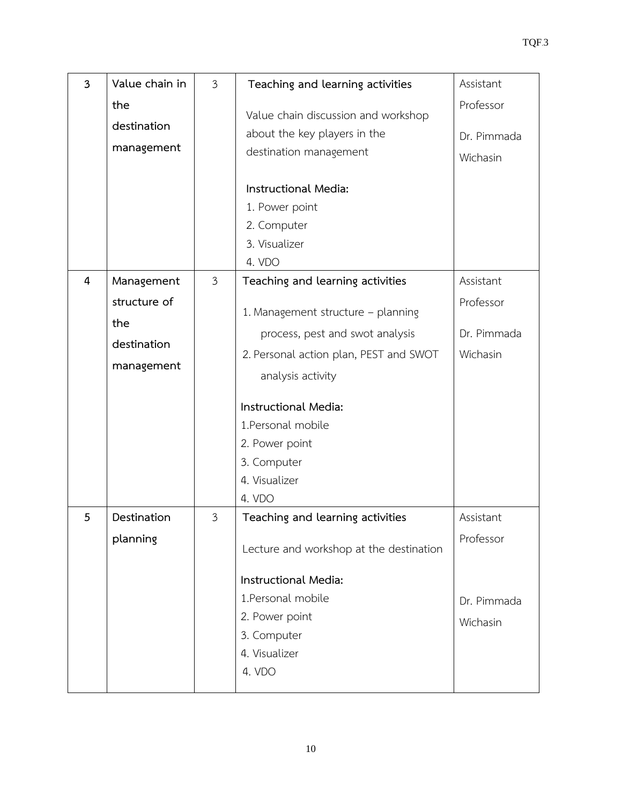| $\overline{3}$ | Value chain in                                                 | 3 | Teaching and learning activities                                                                                                                                                                                                                                                   | Assistant                                         |
|----------------|----------------------------------------------------------------|---|------------------------------------------------------------------------------------------------------------------------------------------------------------------------------------------------------------------------------------------------------------------------------------|---------------------------------------------------|
|                | the<br>destination<br>management                               |   | Value chain discussion and workshop<br>about the key players in the<br>destination management                                                                                                                                                                                      | Professor<br>Dr. Pimmada<br>Wichasin              |
|                |                                                                |   | Instructional Media:<br>1. Power point<br>2. Computer<br>3. Visualizer<br>4. VDO                                                                                                                                                                                                   |                                                   |
| 4              | Management<br>structure of<br>the<br>destination<br>management | 3 | Teaching and learning activities<br>1. Management structure - planning<br>process, pest and swot analysis<br>2. Personal action plan, PEST and SWOT<br>analysis activity<br>Instructional Media:<br>1. Personal mobile<br>2. Power point<br>3. Computer<br>4. Visualizer<br>4. VDO | Assistant<br>Professor<br>Dr. Pimmada<br>Wichasin |
| 5              | Destination<br>planning                                        | 3 | Teaching and learning activities<br>Lecture and workshop at the destination<br>Instructional Media:<br>1. Personal mobile<br>2. Power point<br>3. Computer<br>4. Visualizer<br>4. VDO                                                                                              | Assistant<br>Professor<br>Dr. Pimmada<br>Wichasin |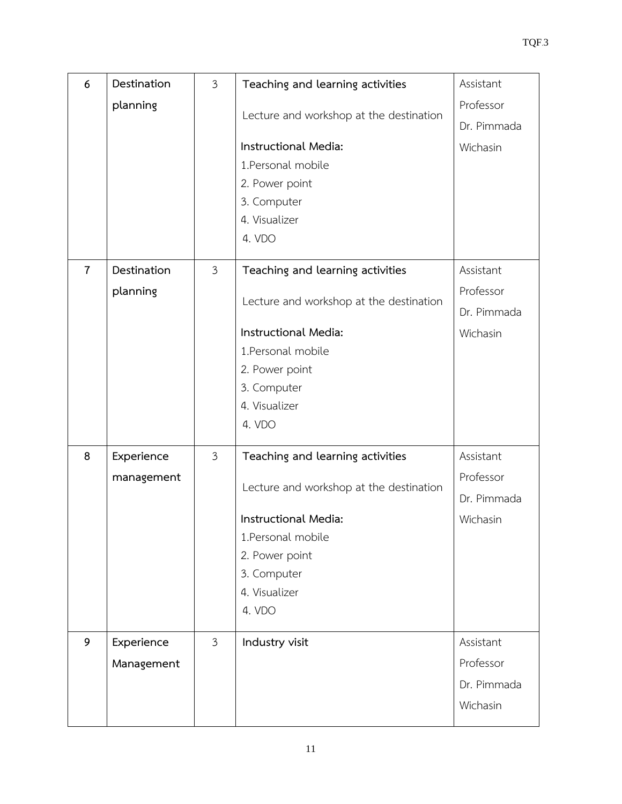| 6              | Destination | $\mathfrak{Z}$ | Teaching and learning activities        | Assistant   |
|----------------|-------------|----------------|-----------------------------------------|-------------|
|                | planning    |                |                                         | Professor   |
|                |             |                | Lecture and workshop at the destination | Dr. Pimmada |
|                |             |                | Instructional Media:                    | Wichasin    |
|                |             |                | 1. Personal mobile                      |             |
|                |             |                | 2. Power point                          |             |
|                |             |                | 3. Computer                             |             |
|                |             |                | 4. Visualizer                           |             |
|                |             |                | 4. VDO                                  |             |
| $\overline{7}$ | Destination | $\mathfrak{Z}$ | Teaching and learning activities        | Assistant   |
|                | planning    |                |                                         | Professor   |
|                |             |                | Lecture and workshop at the destination | Dr. Pimmada |
|                |             |                | Instructional Media:                    | Wichasin    |
|                |             |                | 1. Personal mobile                      |             |
|                |             |                | 2. Power point                          |             |
|                |             |                | 3. Computer                             |             |
|                |             |                | 4. Visualizer                           |             |
|                |             |                | 4. VDO                                  |             |
| 8              | Experience  | $\mathfrak{Z}$ | Teaching and learning activities        | Assistant   |
|                | management  |                |                                         | Professor   |
|                |             |                | Lecture and workshop at the destination | Dr. Pimmada |
|                |             |                | Instructional Media:                    | Wichasin    |
|                |             |                | 1.Personal mobile                       |             |
|                |             |                | 2. Power point                          |             |
|                |             |                | 3. Computer                             |             |
|                |             |                | 4. Visualizer                           |             |
|                |             |                | 4. VDO                                  |             |
| 9              | Experience  | $\mathfrak{Z}$ | Industry visit                          | Assistant   |
|                | Management  |                |                                         | Professor   |
|                |             |                |                                         | Dr. Pimmada |
|                |             |                |                                         | Wichasin    |
|                |             |                |                                         |             |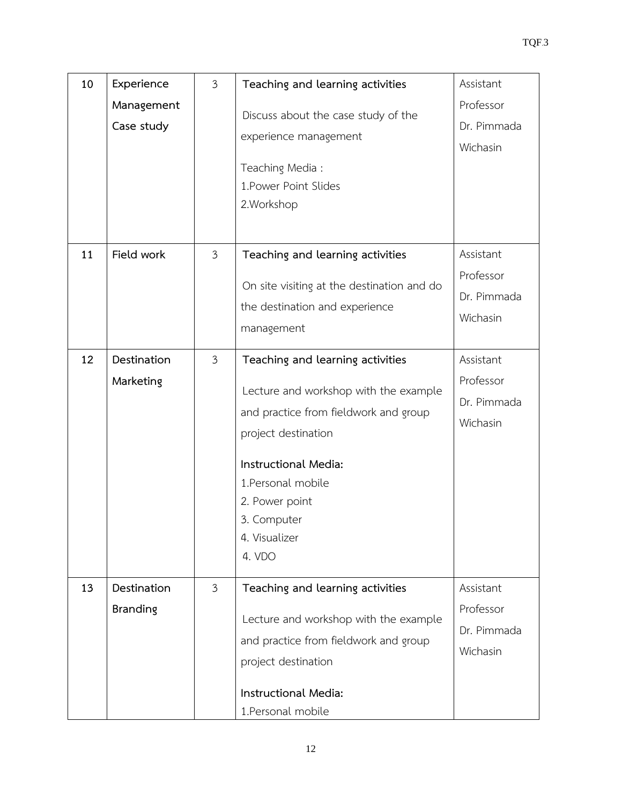| 10 | Experience<br>Management<br>Case study | $\mathfrak{Z}$ | Teaching and learning activities<br>Discuss about the case study of the<br>experience management<br>Teaching Media:<br>1. Power Point Slides<br>2. Workshop                                                                                         | Assistant<br>Professor<br>Dr. Pimmada<br>Wichasin |
|----|----------------------------------------|----------------|-----------------------------------------------------------------------------------------------------------------------------------------------------------------------------------------------------------------------------------------------------|---------------------------------------------------|
| 11 | Field work                             | $\mathfrak{Z}$ | Teaching and learning activities<br>On site visiting at the destination and do<br>the destination and experience<br>management                                                                                                                      | Assistant<br>Professor<br>Dr. Pimmada<br>Wichasin |
| 12 | Destination<br>Marketing               | $\mathfrak{Z}$ | Teaching and learning activities<br>Lecture and workshop with the example<br>and practice from fieldwork and group<br>project destination<br>Instructional Media:<br>1. Personal mobile<br>2. Power point<br>3. Computer<br>4. Visualizer<br>4. VDO | Assistant<br>Professor<br>Dr. Pimmada<br>Wichasin |
| 13 | Destination<br><b>Branding</b>         | $\mathfrak{Z}$ | Teaching and learning activities<br>Lecture and workshop with the example<br>and practice from fieldwork and group<br>project destination<br>Instructional Media:<br>1. Personal mobile                                                             | Assistant<br>Professor<br>Dr. Pimmada<br>Wichasin |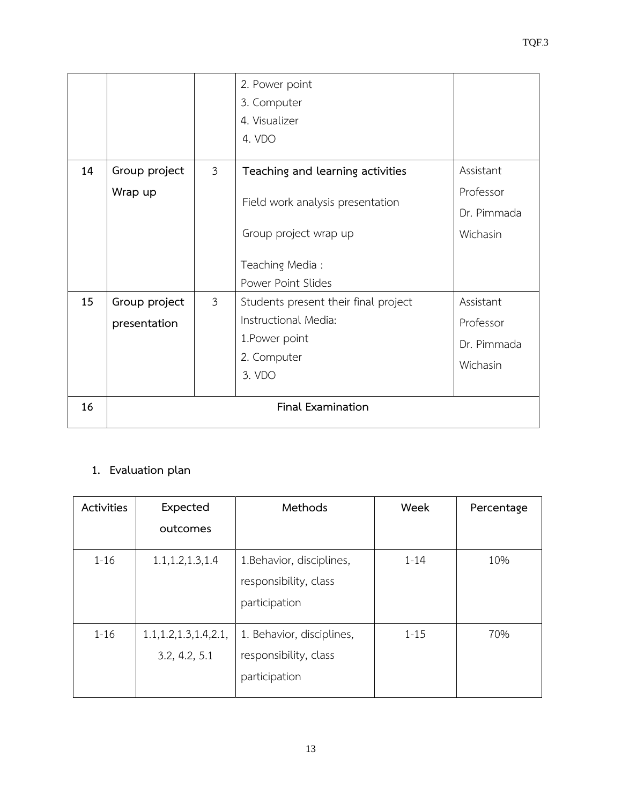|    |               |                | 2. Power point                       |             |
|----|---------------|----------------|--------------------------------------|-------------|
|    |               |                | 3. Computer                          |             |
|    |               |                | 4. Visualizer                        |             |
|    |               |                | 4. VDO                               |             |
|    |               |                |                                      |             |
| 14 | Group project | $\mathfrak{Z}$ | Teaching and learning activities     | Assistant   |
|    | Wrap up       |                | Field work analysis presentation     | Professor   |
|    |               |                |                                      | Dr. Pimmada |
|    |               |                | Group project wrap up                | Wichasin    |
|    |               |                |                                      |             |
|    |               |                | Teaching Media:                      |             |
|    |               |                | Power Point Slides                   |             |
| 15 | Group project | $\mathfrak{Z}$ | Students present their final project | Assistant   |
|    | presentation  |                | Instructional Media:                 | Professor   |
|    |               |                | 1. Power point                       | Dr. Pimmada |
|    |               |                | 2. Computer                          | Wichasin    |
|    |               |                | 3. VDO                               |             |
|    |               |                |                                      |             |
| 16 |               |                | <b>Final Examination</b>             |             |
|    |               |                |                                      |             |

# **1. Evaluation plan**

| Activities | Expected                                  | Methods                                                             | Week     | Percentage |
|------------|-------------------------------------------|---------------------------------------------------------------------|----------|------------|
|            | outcomes                                  |                                                                     |          |            |
| $1 - 16$   | 1.1, 1.2, 1.3, 1.4                        | 1. Behavior, disciplines,<br>responsibility, class<br>participation | $1 - 14$ | 10%        |
| $1 - 16$   | 1.1, 1.2, 1.3, 1.4, 2.1,<br>3.2, 4.2, 5.1 | 1. Behavior, disciplines,<br>responsibility, class<br>participation | $1 - 15$ | 70%        |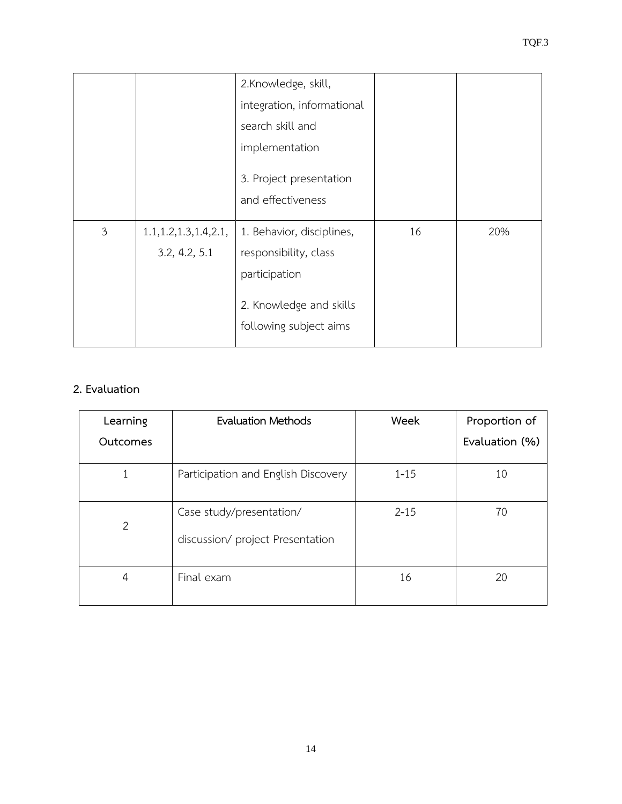|                |                          | 2.Knowledge, skill,                          |    |     |
|----------------|--------------------------|----------------------------------------------|----|-----|
|                |                          | integration, informational                   |    |     |
|                |                          | search skill and                             |    |     |
|                |                          | implementation                               |    |     |
|                |                          | 3. Project presentation<br>and effectiveness |    |     |
| $\mathfrak{Z}$ | 1.1, 1.2, 1.3, 1.4, 2.1, | 1. Behavior, disciplines,                    | 16 | 20% |
|                | 3.2, 4.2, 5.1            | responsibility, class                        |    |     |

# **2. Evaluation**

| Learning       | Evaluation Methods                                           | Week     | Proportion of  |
|----------------|--------------------------------------------------------------|----------|----------------|
| Outcomes       |                                                              |          | Evaluation (%) |
|                | Participation and English Discovery                          | $1 - 15$ | 10             |
| $\overline{2}$ | Case study/presentation/<br>discussion/ project Presentation | $2 - 15$ | 70             |
| 4              | Final exam                                                   | 16       | 20             |

participation

2. Knowledge and skills

following subject aims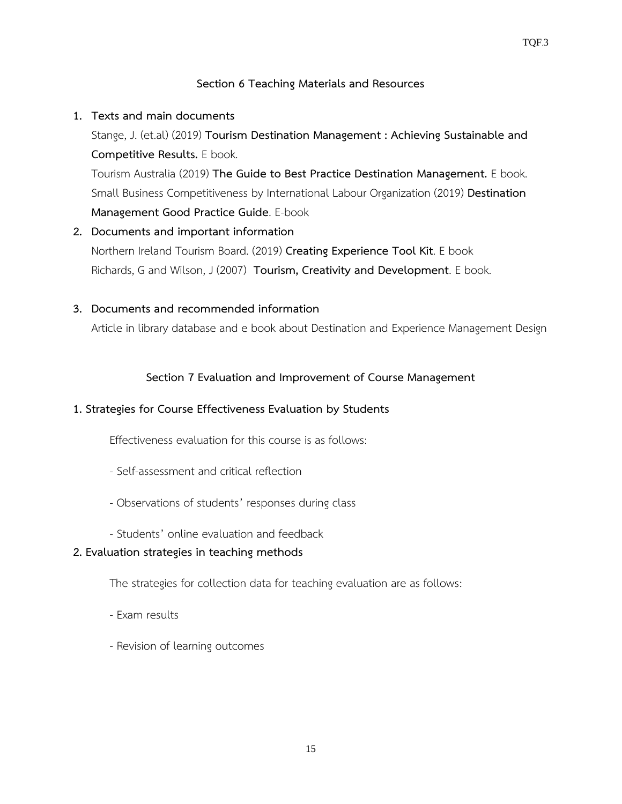### **Section 6 Teaching Materials and Resources**

### **1. Texts and main documents**

Stange, J. (et.al) (2019) **Tourism Destination Management : Achieving Sustainable and Competitive Results.** E book.

Tourism Australia (2019) **The Guide to Best Practice Destination Management.** E book. Small Business Competitiveness by International Labour Organization (2019) **Destination Management Good Practice Guide**. E-book

**2. Documents and important information**  Northern Ireland Tourism Board. (2019) **Creating Experience Tool Kit**. E book Richards, G and Wilson, J (2007) **Tourism, Creativity and Development**. E book.

### **3. Documents and recommended information**

Article in library database and e book about Destination and Experience Management Design

### **Section 7 Evaluation and Improvement of Course Management**

### **1. Strategies for Course Effectiveness Evaluation by Students**

Effectiveness evaluation for this course is as follows:

- Self-assessment and critical reflection
- Observations of students' responses during class
- Students' online evaluation and feedback

# **2. Evaluation strategies in teaching methods**

The strategies for collection data for teaching evaluation are as follows:

- Exam results
- Revision of learning outcomes